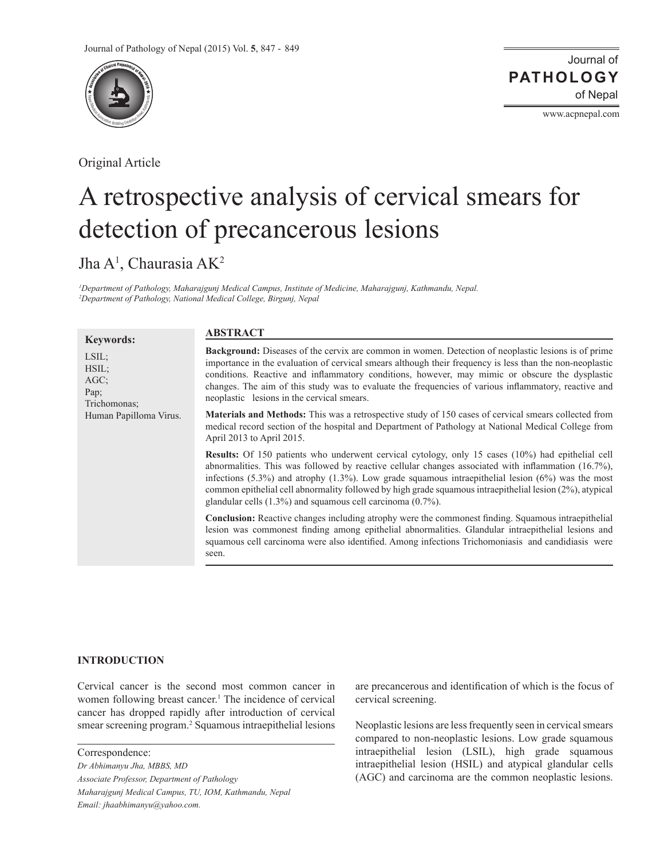

Original Article

Journal of of Nepal **PATHOLOGY**

www.acpnepal.com

# A retrospective analysis of cervical smears for detection of precancerous lesions

Jha A<sup>1</sup>, Chaurasia AK<sup>2</sup>

*1 Department of Pathology, Maharajgunj Medical Campus, Institute of Medicine, Maharajgunj, Kathmandu, Nepal. 2 Department of Pathology, National Medical College, Birgunj, Nepal*

| <b>Keywords:</b>                                     | <b>ABSTRACT</b>                                                                                                                                                                                                                                                                                                                                                                                                                                                                                           |
|------------------------------------------------------|-----------------------------------------------------------------------------------------------------------------------------------------------------------------------------------------------------------------------------------------------------------------------------------------------------------------------------------------------------------------------------------------------------------------------------------------------------------------------------------------------------------|
| LSIL;<br>$HSIL$ ;<br>$AGC$ ;<br>Pap;<br>Trichomonas: | <b>Background:</b> Diseases of the cervix are common in women. Detection of neoplastic lesions is of prime<br>importance in the evaluation of cervical smears although their frequency is less than the non-neoplastic<br>conditions. Reactive and inflammatory conditions, however, may mimic or obscure the dysplastic<br>changes. The aim of this study was to evaluate the frequencies of various inflammatory, reactive and<br>neoplastic lesions in the cervical smears.                            |
| Human Papilloma Virus.                               | <b>Materials and Methods:</b> This was a retrospective study of 150 cases of cervical smears collected from<br>medical record section of the hospital and Department of Pathology at National Medical College from<br>April 2013 to April 2015.                                                                                                                                                                                                                                                           |
|                                                      | <b>Results:</b> Of 150 patients who underwent cervical cytology, only 15 cases (10%) had epithelial cell<br>abnormalities. This was followed by reactive cellular changes associated with inflammation $(16.7\%)$ ,<br>infections (5.3%) and atrophy (1.3%). Low grade squamous intraepithelial lesion (6%) was the most<br>common epithelial cell abnormality followed by high grade squamous intraepithelial lesion (2%), atypical<br>glandular cells $(1.3\%)$ and squamous cell carcinoma $(0.7\%)$ . |
|                                                      | <b>Conclusion:</b> Reactive changes including atrophy were the commonest finding. Squamous intraepithelial<br>lesion was commonest finding among epithelial abnormalities. Glandular intraepithelial lesions and<br>squamous cell carcinoma were also identified. Among infections Trichomoniasis and candidiasis were<br>seen.                                                                                                                                                                           |

## **INTRODUCTION**

Cervical cancer is the second most common cancer in women following breast cancer.<sup>1</sup> The incidence of cervical cancer has dropped rapidly after introduction of cervical smear screening program.<sup>2</sup> Squamous intraepithelial lesions

Correspondence: *Dr Abhimanyu Jha, MBBS, MD Associate Professor, Department of Pathology Maharajgunj Medical Campus, TU, IOM, Kathmandu, Nepal Email: jhaabhimanyu@yahoo.com.*

are precancerous and identification of which is the focus of cervical screening.

Neoplastic lesions are less frequently seen in cervical smears compared to non-neoplastic lesions. Low grade squamous intraepithelial lesion (LSIL), high grade squamous intraepithelial lesion (HSIL) and atypical glandular cells (AGC) and carcinoma are the common neoplastic lesions.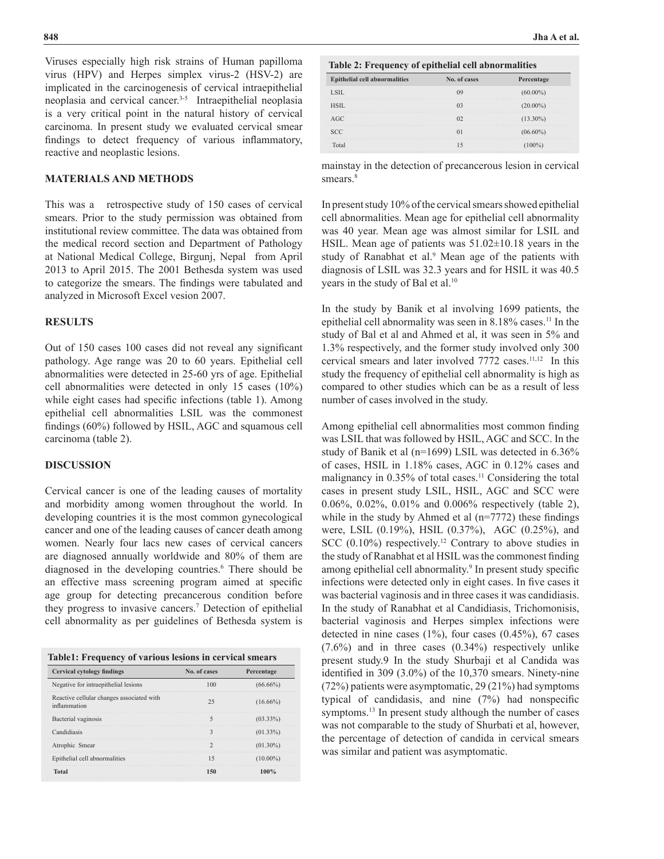Viruses especially high risk strains of Human papilloma virus (HPV) and Herpes simplex virus-2 (HSV-2) are implicated in the carcinogenesis of cervical intraepithelial neoplasia and cervical cancer.3-5 Intraepithelial neoplasia is a very critical point in the natural history of cervical carcinoma. In present study we evaluated cervical smear findings to detect frequency of various inflammatory, reactive and neoplastic lesions.

## **MATERIALS AND METHODS**

This was a retrospective study of 150 cases of cervical smears. Prior to the study permission was obtained from institutional review committee. The data was obtained from the medical record section and Department of Pathology at National Medical College, Birgunj, Nepal from April 2013 to April 2015. The 2001 Bethesda system was used to categorize the smears. The findings were tabulated and analyzed in Microsoft Excel vesion 2007.

#### **RESULTS**

Out of 150 cases 100 cases did not reveal any significant pathology. Age range was 20 to 60 years. Epithelial cell abnormalities were detected in 25-60 yrs of age. Epithelial cell abnormalities were detected in only 15 cases (10%) while eight cases had specific infections (table 1). Among epithelial cell abnormalities LSIL was the commonest findings (60%) followed by HSIL, AGC and squamous cell carcinoma (table 2).

## **DISCUSSION**

Cervical cancer is one of the leading causes of mortality and morbidity among women throughout the world. In developing countries it is the most common gynecological cancer and one of the leading causes of cancer death among women. Nearly four lacs new cases of cervical cancers are diagnosed annually worldwide and 80% of them are diagnosed in the developing countries.<sup>6</sup> There should be an effective mass screening program aimed at specific age group for detecting precancerous condition before they progress to invasive cancers.7 Detection of epithelial cell abnormality as per guidelines of Bethesda system is

| Table1: Frequency of various lesions in cervical smears |  |  |
|---------------------------------------------------------|--|--|
|                                                         |  |  |

| <b>Cervical cytology findings</b>                         | No. of cases | Percentage  |
|-----------------------------------------------------------|--------------|-------------|
| Negative for intraepithelial lesions                      |              | $(66.66\%)$ |
| Reactive cellular changes associated with<br>inflammation |              | $(16.66\%)$ |
| Bacterial vaginosis                                       |              | $(03.33\%)$ |
| Candidiasis                                               |              | $(01.33\%)$ |
| Atrophic Smear                                            |              | $(01.30\%)$ |
| Epithelial cell abnormalities                             |              | $(10.00\%)$ |
| Total                                                     |              | 100%        |

 **Table 2: Frequency of epithelial cell abnormalities**

| <b>Epithelial cell abnormalities</b> | No. of cases | Percentage  |
|--------------------------------------|--------------|-------------|
| LSIL.                                |              | $(60.00\%)$ |
| HSIL.                                |              | $(20.00\%)$ |
| AGC                                  |              | $(13.30\%)$ |
| SCC.                                 |              | $(06.60\%)$ |
| Total                                |              |             |

mainstay in the detection of precancerous lesion in cervical smears.<sup>8</sup>

In present study 10% of the cervical smears showed epithelial cell abnormalities. Mean age for epithelial cell abnormality was 40 year. Mean age was almost similar for LSIL and HSIL. Mean age of patients was 51.02±10.18 years in the study of Ranabhat et al.<sup>9</sup> Mean age of the patients with diagnosis of LSIL was 32.3 years and for HSIL it was 40.5 years in the study of Bal et al.<sup>10</sup>

In the study by Banik et al involving 1699 patients, the epithelial cell abnormality was seen in 8.18% cases.<sup>11</sup> In the study of Bal et al and Ahmed et al, it was seen in 5% and 1.3% respectively, and the former study involved only 300 cervical smears and later involved 7772 cases.<sup>11,12</sup> In this study the frequency of epithelial cell abnormality is high as compared to other studies which can be as a result of less number of cases involved in the study.

Among epithelial cell abnormalities most common finding was LSIL that was followed by HSIL, AGC and SCC. In the study of Banik et al (n=1699) LSIL was detected in 6.36% of cases, HSIL in 1.18% cases, AGC in 0.12% cases and malignancy in  $0.35\%$  of total cases.<sup>11</sup> Considering the total cases in present study LSIL, HSIL, AGC and SCC were 0.06%, 0.02%, 0.01% and 0.006% respectively (table 2), while in the study by Ahmed et al (n=7772) these findings were, LSIL (0.19%), HSIL (0.37%), AGC (0.25%), and SCC (0.10%) respectively.<sup>12</sup> Contrary to above studies in the study of Ranabhat et al HSIL was the commonest finding among epithelial cell abnormality.<sup>9</sup> In present study specific infections were detected only in eight cases. In five cases it was bacterial vaginosis and in three cases it was candidiasis. In the study of Ranabhat et al Candidiasis, Trichomonisis, bacterial vaginosis and Herpes simplex infections were detected in nine cases  $(1\%)$ , four cases  $(0.45\%)$ , 67 cases (7.6%) and in three cases (0.34%) respectively unlike present study.9 In the study Shurbaji et al Candida was identified in 309 (3.0%) of the 10,370 smears. Ninety-nine (72%) patients were asymptomatic, 29 (21%) had symptoms typical of candidasis, and nine (7%) had nonspecific symptoms.<sup>13</sup> In present study although the number of cases was not comparable to the study of Shurbati et al, however, the percentage of detection of candida in cervical smears was similar and patient was asymptomatic.